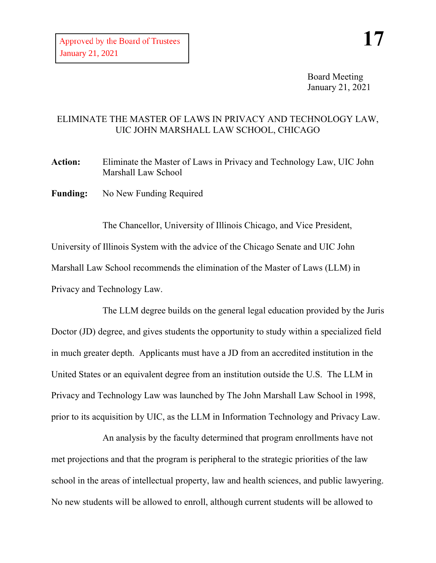Board Meeting January 21, 2021

## ELIMINATE THE MASTER OF LAWS IN PRIVACY AND TECHNOLOGY LAW, UIC JOHN MARSHALL LAW SCHOOL, CHICAGO

**Action:** Eliminate the Master of Laws in Privacy and Technology Law, UIC John Marshall Law School

**Funding:** No New Funding Required

The Chancellor, University of Illinois Chicago, and Vice President, University of Illinois System with the advice of the Chicago Senate and UIC John Marshall Law School recommends the elimination of the Master of Laws (LLM) in Privacy and Technology Law.

The LLM degree builds on the general legal education provided by the Juris Doctor (JD) degree, and gives students the opportunity to study within a specialized field in much greater depth. Applicants must have a JD from an accredited institution in the United States or an equivalent degree from an institution outside the U.S. The LLM in Privacy and Technology Law was launched by The John Marshall Law School in 1998, prior to its acquisition by UIC, as the LLM in Information Technology and Privacy Law.

An analysis by the faculty determined that program enrollments have not met projections and that the program is peripheral to the strategic priorities of the law school in the areas of intellectual property, law and health sciences, and public lawyering. No new students will be allowed to enroll, although current students will be allowed to